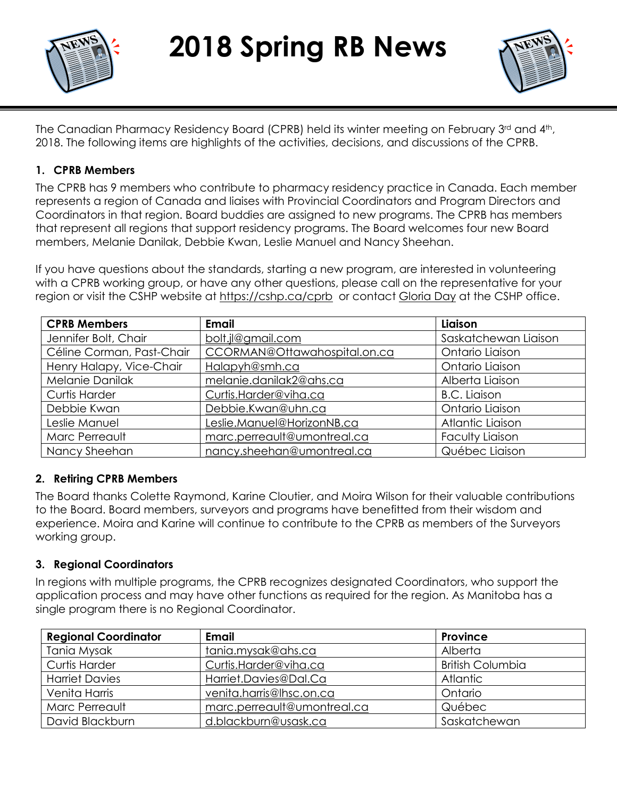



The Canadian Pharmacy Residency Board (CPRB) held its winter meeting on February 3rd and 4th, 2018. The following items are highlights of the activities, decisions, and discussions of the CPRB.

### **1. CPRB Members**

The CPRB has 9 members who contribute to pharmacy residency practice in Canada. Each member represents a region of Canada and liaises with Provincial Coordinators and Program Directors and Coordinators in that region. Board buddies are assigned to new programs. The CPRB has members that represent all regions that support residency programs. The Board welcomes four new Board members, Melanie Danilak, Debbie Kwan, Leslie Manuel and Nancy Sheehan.

If you have questions about the standards, starting a new program, are interested in volunteering with a CPRB working group, or have any other questions, please call on the representative for your region or visit the CSHP website at<https://cshp.ca/cprb> or contact [Gloria Day](mailto:gday@cshp.ca) at the CSHP office.

| <b>CPRB Members</b>       | <b>Email</b>                 | Liaison                |
|---------------------------|------------------------------|------------------------|
| Jennifer Bolt, Chair      | bolt.jl@gmail.com            | Saskatchewan Liaison   |
| Céline Corman, Past-Chair | CCORMAN@Ottawahospital.on.ca | Ontario Liaison        |
| Henry Halapy, Vice-Chair  | Halapyh@smh.ca               | Ontario Liaison        |
| Melanie Danilak           | melanie.danilak2@ahs.ca      | Alberta Liaison        |
| <b>Curtis Harder</b>      | Curtis.Harder@viha.ca        | <b>B.C. Liaison</b>    |
| Debbie Kwan               | Debbie.Kwan@uhn.ca           | Ontario Liaison        |
| Leslie Manuel             | Leslie.Manuel@HorizonNB.ca   | Atlantic Liaison       |
| Marc Perreault            | marc.perreault@umontreal.ca  | <b>Faculty Liaison</b> |
| Nancy Sheehan             | nancy.sheehan@umontreal.ca   | Québec Liaison         |

### **2. Retiring CPRB Members**

The Board thanks Colette Raymond, Karine Cloutier, and Moira Wilson for their valuable contributions to the Board. Board members, surveyors and programs have benefitted from their wisdom and experience. Moira and Karine will continue to contribute to the CPRB as members of the Surveyors working group.

### **3. Regional Coordinators**

In regions with multiple programs, the CPRB recognizes designated Coordinators, who support the application process and may have other functions as required for the region. As Manitoba has a single program there is no Regional Coordinator.

| <b>Regional Coordinator</b> | <b>Email</b>                | <b>Province</b>         |
|-----------------------------|-----------------------------|-------------------------|
| <b>Tania Mysak</b>          | tania.mysak@ahs.ca          | Alberta                 |
| Curtis Harder               | Curtis.Harder@viha.ca       | <b>British Columbia</b> |
| <b>Harriet Davies</b>       | Harriet.Davies@Dal.Ca       | <b>Atlantic</b>         |
| Venita Harris               | venita.harris@lhsc.on.ca    | Ontario                 |
| Marc Perreault              | marc.perreault@umontreal.ca | Québec                  |
| David Blackburn             | d.blackburn@usask.ca        | Saskatchewan            |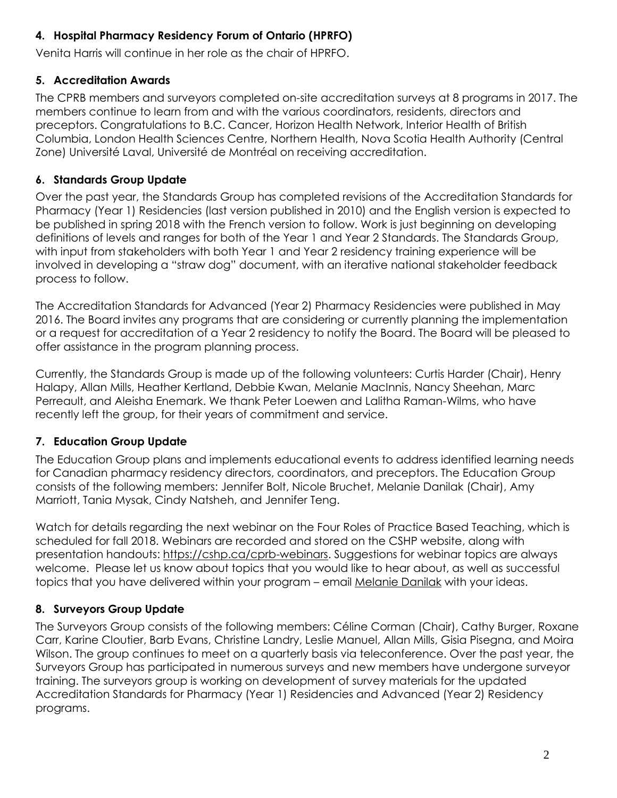## **4. Hospital Pharmacy Residency Forum of Ontario (HPRFO)**

Venita Harris will continue in her role as the chair of HPRFO.

# **5. Accreditation Awards**

The CPRB members and surveyors completed on-site accreditation surveys at 8 programs in 2017. The members continue to learn from and with the various coordinators, residents, directors and preceptors. Congratulations to B.C. Cancer, Horizon Health Network, Interior Health of British Columbia, London Health Sciences Centre, Northern Health, Nova Scotia Health Authority (Central Zone) Université Laval, Université de Montréal on receiving accreditation.

# **6. Standards Group Update**

Over the past year, the Standards Group has completed revisions of the Accreditation Standards for Pharmacy (Year 1) Residencies (last version published in 2010) and the English version is expected to be published in spring 2018 with the French version to follow. Work is just beginning on developing definitions of levels and ranges for both of the Year 1 and Year 2 Standards. The Standards Group, with input from stakeholders with both Year 1 and Year 2 residency training experience will be involved in developing a "straw dog" document, with an iterative national stakeholder feedback process to follow.

The Accreditation Standards for Advanced (Year 2) Pharmacy Residencies were published in May 2016. The Board invites any programs that are considering or currently planning the implementation or a request for accreditation of a Year 2 residency to notify the Board. The Board will be pleased to offer assistance in the program planning process.

Currently, the Standards Group is made up of the following volunteers: Curtis Harder (Chair), Henry Halapy, Allan Mills, Heather Kertland, Debbie Kwan, Melanie MacInnis, Nancy Sheehan, Marc Perreault, and Aleisha Enemark. We thank Peter Loewen and Lalitha Raman-Wilms, who have recently left the group, for their years of commitment and service.

# **7. Education Group Update**

The Education Group plans and implements educational events to address identified learning needs for Canadian pharmacy residency directors, coordinators, and preceptors. The Education Group consists of the following members: Jennifer Bolt, Nicole Bruchet, Melanie Danilak (Chair), Amy Marriott, Tania Mysak, Cindy Natsheh, and Jennifer Teng.

Watch for details regarding the next webinar on the Four Roles of Practice Based Teaching, which is scheduled for fall 2018. Webinars are recorded and stored on the CSHP website, along with presentation handouts: [https://cshp.ca/cprb-webinars.](https://cshp.ca/cprb-webinars) Suggestions for webinar topics are always welcome. Please let us know about topics that you would like to hear about, as well as successful topics that you have delivered within your program – email [Melanie Danilak](mailto:Melanie.Danilak2@ahs.ca) with your ideas.

# **8. Surveyors Group Update**

The Surveyors Group consists of the following members: Céline Corman (Chair), Cathy Burger, Roxane Carr, Karine Cloutier, Barb Evans, Christine Landry, Leslie Manuel, Allan Mills, Gisia Pisegna, and Moira Wilson. The group continues to meet on a quarterly basis via teleconference. Over the past year, the Surveyors Group has participated in numerous surveys and new members have undergone surveyor training. The surveyors group is working on development of survey materials for the updated Accreditation Standards for Pharmacy (Year 1) Residencies and Advanced (Year 2) Residency programs.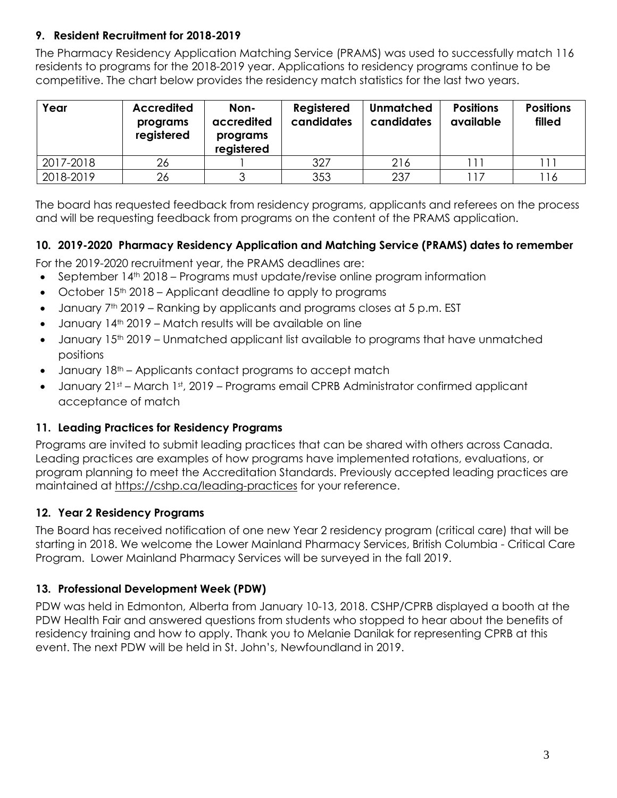## **9. Resident Recruitment for 2018-2019**

The Pharmacy Residency Application Matching Service (PRAMS) was used to successfully match 116 residents to programs for the 2018-2019 year. Applications to residency programs continue to be competitive. The chart below provides the residency match statistics for the last two years.

| Year      | <b>Accredited</b><br>programs<br>registered | Non-<br>accredited<br>programs<br>registered | Registered<br>candidates | <b>Unmatched</b><br>candidates | <b>Positions</b><br>available | <b>Positions</b><br>filled |
|-----------|---------------------------------------------|----------------------------------------------|--------------------------|--------------------------------|-------------------------------|----------------------------|
| 2017-2018 | 26                                          |                                              | 327                      | 216                            | . 11                          |                            |
| 2018-2019 | 26                                          |                                              | 353                      | 237                            | 117                           | 116                        |

The board has requested feedback from residency programs, applicants and referees on the process and will be requesting feedback from programs on the content of the PRAMS application.

### **10. 2019-2020 Pharmacy Residency Application and Matching Service (PRAMS) dates to remember**

For the 2019-2020 recruitment year, the PRAMS deadlines are:

- September 14<sup>th</sup> 2018 Programs must update/revise online program information
- $\bullet$  October 15<sup>th</sup> 2018 Applicant deadline to apply to programs
- January 7<sup>th</sup> 2019 Ranking by applicants and programs closes at 5 p.m. EST
- $\bullet$  January 14<sup>th</sup> 2019 Match results will be available on line
- January 15<sup>th</sup> 2019 Unmatched applicant list available to programs that have unmatched positions
- January  $18<sup>th</sup>$  Applicants contact programs to accept match
- January 21st March 1st, 2019 Programs email CPRB Administrator confirmed applicant acceptance of match

## **11. Leading Practices for Residency Programs**

Programs are invited to submit leading practices that can be shared with others across Canada. Leading practices are examples of how programs have implemented rotations, evaluations, or program planning to meet the Accreditation Standards. Previously accepted leading practices are maintained at <https://cshp.ca/leading-practices> for your reference.

## **12. Year 2 Residency Programs**

The Board has received notification of one new Year 2 residency program (critical care) that will be starting in 2018. We welcome the Lower Mainland Pharmacy Services, British Columbia - Critical Care Program. Lower Mainland Pharmacy Services will be surveyed in the fall 2019.

## **13. Professional Development Week (PDW)**

PDW was held in Edmonton, Alberta from January 10-13, 2018. CSHP/CPRB displayed a booth at the PDW Health Fair and answered questions from students who stopped to hear about the benefits of residency training and how to apply. Thank you to Melanie Danilak for representing CPRB at this event. The next PDW will be held in St. John's, Newfoundland in 2019.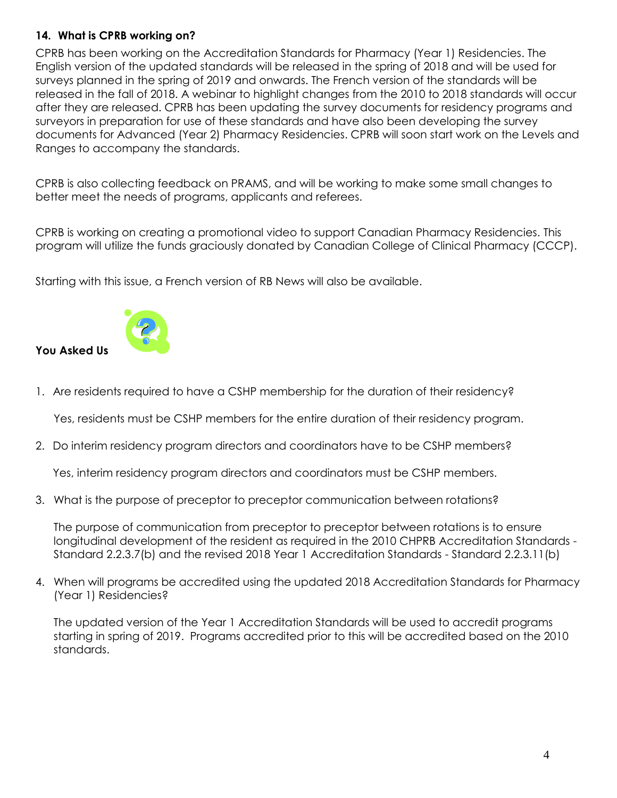## **14. What is CPRB working on?**

CPRB has been working on the Accreditation Standards for Pharmacy (Year 1) Residencies. The English version of the updated standards will be released in the spring of 2018 and will be used for surveys planned in the spring of 2019 and onwards. The French version of the standards will be released in the fall of 2018. A webinar to highlight changes from the 2010 to 2018 standards will occur after they are released. CPRB has been updating the survey documents for residency programs and surveyors in preparation for use of these standards and have also been developing the survey documents for Advanced (Year 2) Pharmacy Residencies. CPRB will soon start work on the Levels and Ranges to accompany the standards.

CPRB is also collecting feedback on PRAMS, and will be working to make some small changes to better meet the needs of programs, applicants and referees.

CPRB is working on creating a promotional video to support Canadian Pharmacy Residencies. This program will utilize the funds graciously donated by Canadian College of Clinical Pharmacy (CCCP).

Starting with this issue, a French version of RB News will also be available.



1. Are residents required to have a CSHP membership for the duration of their residency?

Yes, residents must be CSHP members for the entire duration of their residency program.

2. Do interim residency program directors and coordinators have to be CSHP members?

Yes, interim residency program directors and coordinators must be CSHP members.

3. What is the purpose of preceptor to preceptor communication between rotations?

The purpose of communication from preceptor to preceptor between rotations is to ensure longitudinal development of the resident as required in the 2010 CHPRB Accreditation Standards - Standard 2.2.3.7(b) and the revised 2018 Year 1 Accreditation Standards - Standard 2.2.3.11(b)

4. When will programs be accredited using the updated 2018 Accreditation Standards for Pharmacy (Year 1) Residencies?

The updated version of the Year 1 Accreditation Standards will be used to accredit programs starting in spring of 2019. Programs accredited prior to this will be accredited based on the 2010 standards.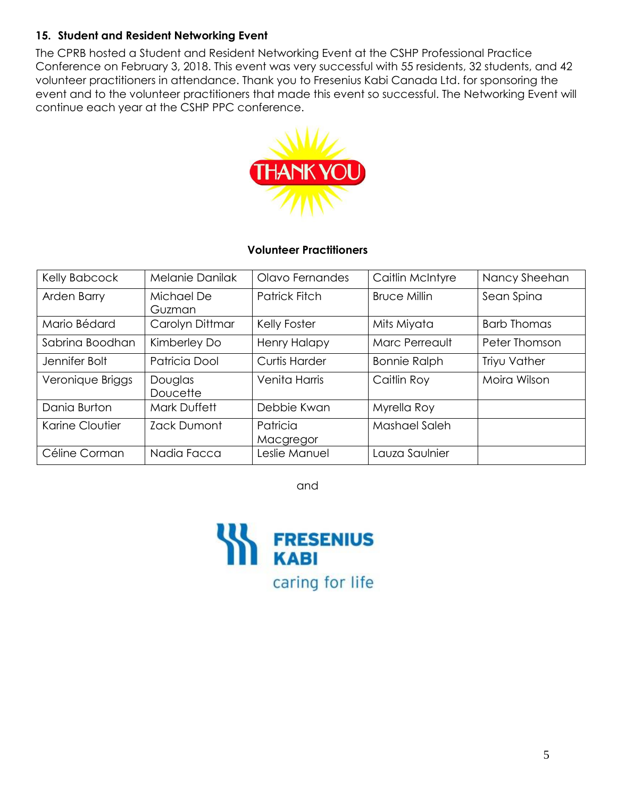## **15. Student and Resident Networking Event**

The CPRB hosted a Student and Resident Networking Event at the CSHP Professional Practice Conference on February 3, 2018. This event was very successful with 55 residents, 32 students, and 42 volunteer practitioners in attendance. Thank you to Fresenius Kabi Canada Ltd. for sponsoring the event and to the volunteer practitioners that made this event so successful. The Networking Event will continue each year at the CSHP PPC conference.



### **Volunteer Practitioners**

| Kelly Babcock    | <b>Melanie Danilak</b> | Olavo Fernandes       | Caitlin McIntyre    | Nancy Sheehan      |
|------------------|------------------------|-----------------------|---------------------|--------------------|
| Arden Barry      | Michael De<br>Guzman   | <b>Patrick Fitch</b>  | <b>Bruce Millin</b> | Sean Spina         |
| Mario Bédard     | Carolyn Dittmar        | Kelly Foster          | Mits Miyata         | <b>Barb Thomas</b> |
| Sabrina Boodhan  | Kimberley Do           | <b>Henry Halapy</b>   | Marc Perreault      | Peter Thomson      |
| Jennifer Bolt    | Patricia Dool          | <b>Curtis Harder</b>  | <b>Bonnie Ralph</b> | Triyu Vather       |
| Veronique Briggs | Douglas<br>Doucette    | Venita Harris         | Caitlin Roy         | Moira Wilson       |
| Dania Burton     | <b>Mark Duffett</b>    | Debbie Kwan           | Myrella Roy         |                    |
| Karine Cloutier  | Zack Dumont            | Patricia<br>Macgregor | Mashael Saleh       |                    |
| Céline Corman    | Nadia Facca            | Leslie Manuel         | Lauza Saulnier      |                    |

and